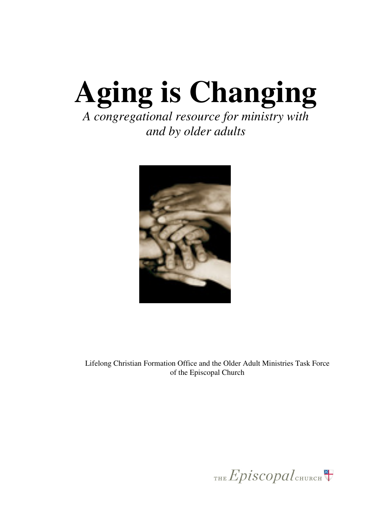# **Aging is Changing**  *A congregational resource for ministry with*

*and by older adults* 



Lifelong Christian Formation Office and the Older Adult Ministries Task Force of the Episcopal Church

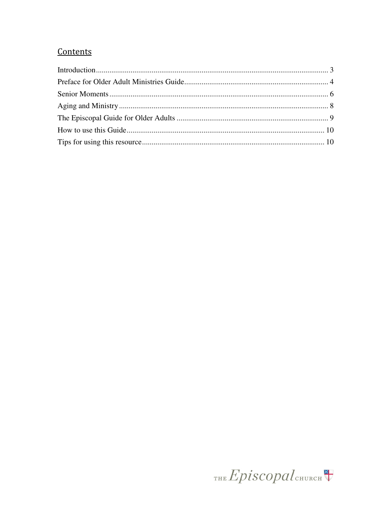## Contents

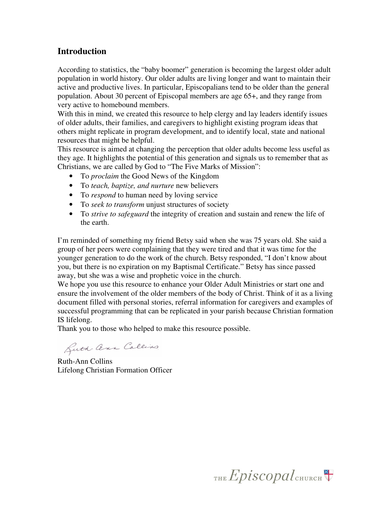### **Introduction**

According to statistics, the "baby boomer" generation is becoming the largest older adult population in world history. Our older adults are living longer and want to maintain their active and productive lives. In particular, Episcopalians tend to be older than the general population. About 30 percent of Episcopal members are age 65+, and they range from very active to homebound members.

With this in mind, we created this resource to help clergy and lay leaders identify issues of older adults, their families, and caregivers to highlight existing program ideas that others might replicate in program development, and to identify local, state and national resources that might be helpful.

This resource is aimed at changing the perception that older adults become less useful as they age. It highlights the potential of this generation and signals us to remember that as Christians, we are called by God to "The Five Marks of Mission":

- To *proclaim* the Good News of the Kingdom
- To *teach, baptize, and nurture* new believers
- To *respond* to human need by loving service
- To *seek to transform* unjust structures of society
- To *strive to safeguard* the integrity of creation and sustain and renew the life of the earth.

I'm reminded of something my friend Betsy said when she was 75 years old. She said a group of her peers were complaining that they were tired and that it was time for the younger generation to do the work of the church. Betsy responded, "I don't know about you, but there is no expiration on my Baptismal Certificate." Betsy has since passed away, but she was a wise and prophetic voice in the church.

We hope you use this resource to enhance your Older Adult Ministries or start one and ensure the involvement of the older members of the body of Christ. Think of it as a living document filled with personal stories, referral information for caregivers and examples of successful programming that can be replicated in your parish because Christian formation IS lifelong.

Thank you to those who helped to make this resource possible.

Buth- Cena Collins

Ruth-Ann Collins Lifelong Christian Formation Officer

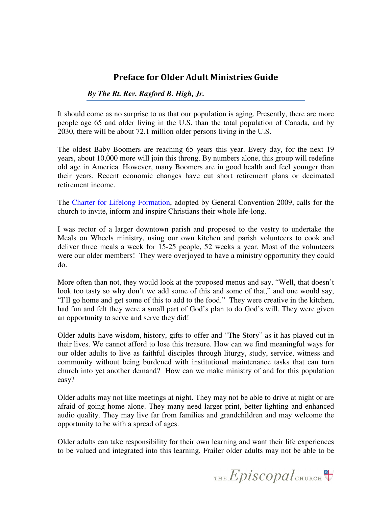## Preface for Older Adult Ministries Guide

#### *By The Rt. Rev. Rayford B. High, Jr.*

It should come as no surprise to us that our population is aging. Presently, there are more people age 65 and older living in the U.S. than the total population of Canada, and by 2030, there will be about 72.1 million older persons living in the U.S.

The oldest Baby Boomers are reaching 65 years this year. Every day, for the next 19 years, about 10,000 more will join this throng. By numbers alone, this group will redefine old age in America. However, many Boomers are in good health and feel younger than their years. Recent economic changes have cut short retirement plans or decimated retirement income.

The Charter for Lifelong Formation, adopted by General Convention 2009, calls for the church to invite, inform and inspire Christians their whole life-long.

I was rector of a larger downtown parish and proposed to the vestry to undertake the Meals on Wheels ministry, using our own kitchen and parish volunteers to cook and deliver three meals a week for 15-25 people, 52 weeks a year. Most of the volunteers were our older members! They were overjoyed to have a ministry opportunity they could do.

More often than not, they would look at the proposed menus and say, "Well, that doesn't look too tasty so why don't we add some of this and some of that," and one would say, "I'll go home and get some of this to add to the food." They were creative in the kitchen, had fun and felt they were a small part of God's plan to do God's will. They were given an opportunity to serve and serve they did!

Older adults have wisdom, history, gifts to offer and "The Story" as it has played out in their lives. We cannot afford to lose this treasure. How can we find meaningful ways for our older adults to live as faithful disciples through liturgy, study, service, witness and community without being burdened with institutional maintenance tasks that can turn church into yet another demand? How can we make ministry of and for this population easy?

Older adults may not like meetings at night. They may not be able to drive at night or are afraid of going home alone. They many need larger print, better lighting and enhanced audio quality. They may live far from families and grandchildren and may welcome the opportunity to be with a spread of ages.

Older adults can take responsibility for their own learning and want their life experiences to be valued and integrated into this learning. Frailer older adults may not be able to be

THE  $Epis copal$ <sub>CHURCH</sub>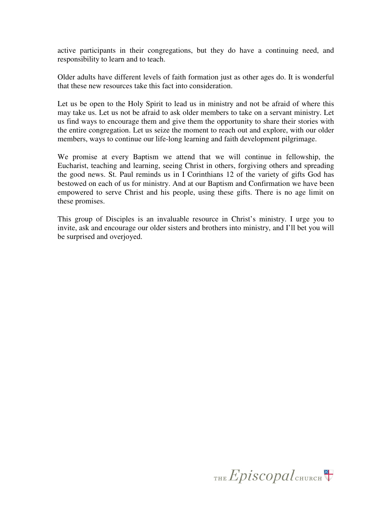active participants in their congregations, but they do have a continuing need, and responsibility to learn and to teach.

Older adults have different levels of faith formation just as other ages do. It is wonderful that these new resources take this fact into consideration.

Let us be open to the Holy Spirit to lead us in ministry and not be afraid of where this may take us. Let us not be afraid to ask older members to take on a servant ministry. Let us find ways to encourage them and give them the opportunity to share their stories with the entire congregation. Let us seize the moment to reach out and explore, with our older members, ways to continue our life-long learning and faith development pilgrimage.

We promise at every Baptism we attend that we will continue in fellowship, the Eucharist, teaching and learning, seeing Christ in others, forgiving others and spreading the good news. St. Paul reminds us in I Corinthians 12 of the variety of gifts God has bestowed on each of us for ministry. And at our Baptism and Confirmation we have been empowered to serve Christ and his people, using these gifts. There is no age limit on these promises.

This group of Disciples is an invaluable resource in Christ's ministry. I urge you to invite, ask and encourage our older sisters and brothers into ministry, and I'll bet you will be surprised and overjoyed.

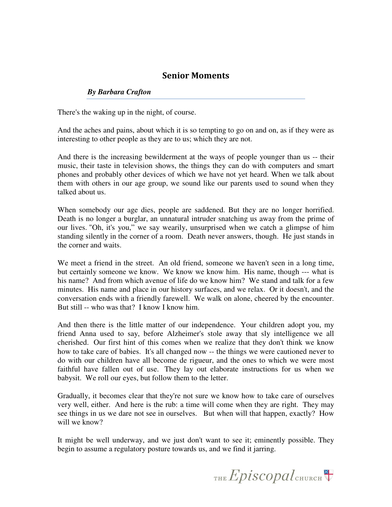## Senior Moments

#### *By Barbara Crafton*

There's the waking up in the night, of course.

And the aches and pains, about which it is so tempting to go on and on, as if they were as interesting to other people as they are to us; which they are not.

And there is the increasing bewilderment at the ways of people younger than us -- their music, their taste in television shows, the things they can do with computers and smart phones and probably other devices of which we have not yet heard. When we talk about them with others in our age group, we sound like our parents used to sound when they talked about us.

When somebody our age dies, people are saddened. But they are no longer horrified. Death is no longer a burglar, an unnatural intruder snatching us away from the prime of our lives. "Oh, it's you," we say wearily, unsurprised when we catch a glimpse of him standing silently in the corner of a room. Death never answers, though. He just stands in the corner and waits.

We meet a friend in the street. An old friend, someone we haven't seen in a long time, but certainly someone we know. We know we know him. His name, though --- what is his name? And from which avenue of life do we know him? We stand and talk for a few minutes. His name and place in our history surfaces, and we relax. Or it doesn't, and the conversation ends with a friendly farewell. We walk on alone, cheered by the encounter. But still -- who was that? I know I know him.

And then there is the little matter of our independence. Your children adopt you, my friend Anna used to say, before Alzheimer's stole away that sly intelligence we all cherished. Our first hint of this comes when we realize that they don't think we know how to take care of babies. It's all changed now -- the things we were cautioned never to do with our children have all become de rigueur, and the ones to which we were most faithful have fallen out of use. They lay out elaborate instructions for us when we babysit. We roll our eyes, but follow them to the letter.

Gradually, it becomes clear that they're not sure we know how to take care of ourselves very well, either. And here is the rub: a time will come when they are right. They may see things in us we dare not see in ourselves. But when will that happen, exactly? How will we know?

It might be well underway, and we just don't want to see it; eminently possible. They begin to assume a regulatory posture towards us, and we find it jarring.

THE Episcopal CHURCH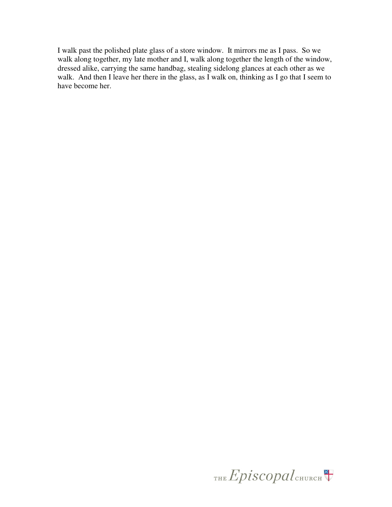I walk past the polished plate glass of a store window. It mirrors me as I pass. So we walk along together, my late mother and I, walk along together the length of the window, dressed alike, carrying the same handbag, stealing sidelong glances at each other as we walk. And then I leave her there in the glass, as I walk on, thinking as I go that I seem to have become her.

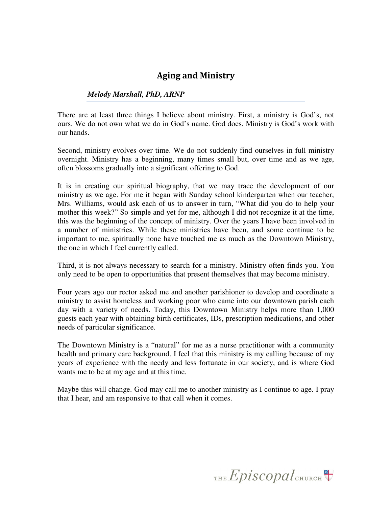## Aging and Ministry

#### *Melody Marshall, PhD, ARNP*

There are at least three things I believe about ministry. First, a ministry is God's, not ours. We do not own what we do in God's name. God does. Ministry is God's work with our hands.

Second, ministry evolves over time. We do not suddenly find ourselves in full ministry overnight. Ministry has a beginning, many times small but, over time and as we age, often blossoms gradually into a significant offering to God.

It is in creating our spiritual biography, that we may trace the development of our ministry as we age. For me it began with Sunday school kindergarten when our teacher, Mrs. Williams, would ask each of us to answer in turn, "What did you do to help your mother this week?" So simple and yet for me, although I did not recognize it at the time, this was the beginning of the concept of ministry. Over the years I have been involved in a number of ministries. While these ministries have been, and some continue to be important to me, spiritually none have touched me as much as the Downtown Ministry, the one in which I feel currently called.

Third, it is not always necessary to search for a ministry. Ministry often finds you. You only need to be open to opportunities that present themselves that may become ministry.

Four years ago our rector asked me and another parishioner to develop and coordinate a ministry to assist homeless and working poor who came into our downtown parish each day with a variety of needs. Today, this Downtown Ministry helps more than 1,000 guests each year with obtaining birth certificates, IDs, prescription medications, and other needs of particular significance.

The Downtown Ministry is a "natural" for me as a nurse practitioner with a community health and primary care background. I feel that this ministry is my calling because of my years of experience with the needy and less fortunate in our society, and is where God wants me to be at my age and at this time.

Maybe this will change. God may call me to another ministry as I continue to age. I pray that I hear, and am responsive to that call when it comes.

THE Episcopal CHURCH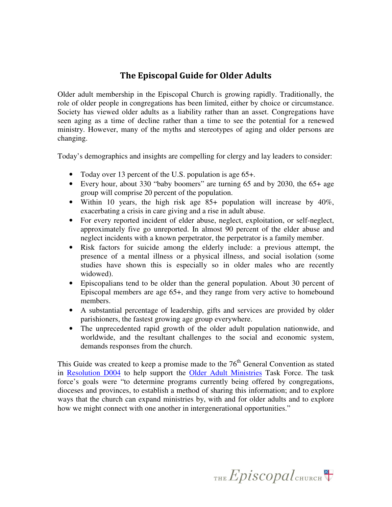## The Episcopal Guide for Older Adults

Older adult membership in the Episcopal Church is growing rapidly. Traditionally, the role of older people in congregations has been limited, either by choice or circumstance. Society has viewed older adults as a liability rather than an asset. Congregations have seen aging as a time of decline rather than a time to see the potential for a renewed ministry. However, many of the myths and stereotypes of aging and older persons are changing.

Today's demographics and insights are compelling for clergy and lay leaders to consider:

- Today over 13 percent of the U.S. population is age 65+.
- Every hour, about 330 "baby boomers" are turning 65 and by 2030, the 65+ age group will comprise 20 percent of the population.
- Within 10 years, the high risk age 85+ population will increase by 40%, exacerbating a crisis in care giving and a rise in adult abuse.
- For every reported incident of elder abuse, neglect, exploitation, or self-neglect, approximately five go unreported. In almost 90 percent of the elder abuse and neglect incidents with a known perpetrator, the perpetrator is a family member.
- Risk factors for suicide among the elderly include: a previous attempt, the presence of a mental illness or a physical illness, and social isolation (some studies have shown this is especially so in older males who are recently widowed).
- Episcopalians tend to be older than the general population. About 30 percent of Episcopal members are age 65+, and they range from very active to homebound members.
- A substantial percentage of leadership, gifts and services are provided by older parishioners, the fastest growing age group everywhere.
- The unprecedented rapid growth of the older adult population nationwide, and worldwide, and the resultant challenges to the social and economic system, demands responses from the church.

This Guide was created to keep a promise made to the  $76<sup>th</sup>$  General Convention as stated in Resolution D004 to help support the Older Adult Ministries Task Force. The task force's goals were "to determine programs currently being offered by congregations, dioceses and provinces, to establish a method of sharing this information; and to explore ways that the church can expand ministries by, with and for older adults and to explore how we might connect with one another in intergenerational opportunities."

THE  $Epis copal$ <sub>CHURCH</sub>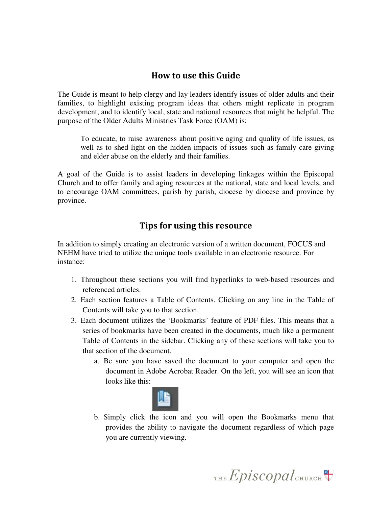## How to use this Guide

The Guide is meant to help clergy and lay leaders identify issues of older adults and their families, to highlight existing program ideas that others might replicate in program development, and to identify local, state and national resources that might be helpful. The purpose of the Older Adults Ministries Task Force (OAM) is:

To educate, to raise awareness about positive aging and quality of life issues, as well as to shed light on the hidden impacts of issues such as family care giving and elder abuse on the elderly and their families.

A goal of the Guide is to assist leaders in developing linkages within the Episcopal Church and to offer family and aging resources at the national, state and local levels, and to encourage OAM committees, parish by parish, diocese by diocese and province by province.

## Tips for using this resource

In addition to simply creating an electronic version of a written document, FOCUS and NEHM have tried to utilize the unique tools available in an electronic resource. For instance:

- 1. Throughout these sections you will find hyperlinks to web-based resources and referenced articles.
- 2. Each section features a Table of Contents. Clicking on any line in the Table of Contents will take you to that section.
- 3. Each document utilizes the 'Bookmarks' feature of PDF files. This means that a series of bookmarks have been created in the documents, much like a permanent Table of Contents in the sidebar. Clicking any of these sections will take you to that section of the document.
	- a. Be sure you have saved the document to your computer and open the document in Adobe Acrobat Reader. On the left, you will see an icon that looks like this:



b. Simply click the icon and you will open the Bookmarks menu that provides the ability to navigate the document regardless of which page you are currently viewing.

THE Episcopal CHURCH